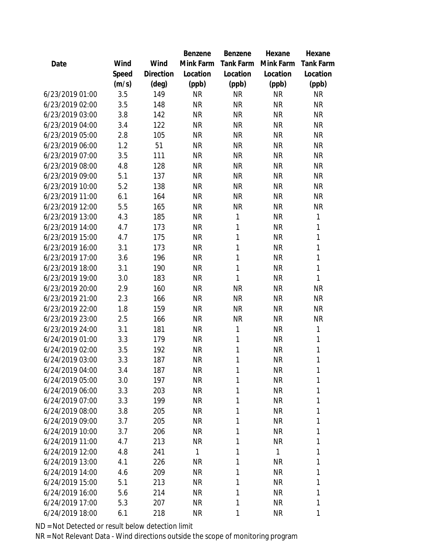|                 |       |                | Benzene   | Benzene          | Hexane    | Hexane           |
|-----------------|-------|----------------|-----------|------------------|-----------|------------------|
| Date            | Wind  | Wind           | Mink Farm | <b>Tank Farm</b> | Mink Farm | <b>Tank Farm</b> |
|                 | Speed | Direction      | Location  | Location         | Location  | Location         |
|                 | (m/s) | $(\text{deg})$ | (ppb)     | (ppb)            | (ppb)     | (ppb)            |
| 6/23/2019 01:00 | 3.5   | 149            | <b>NR</b> | <b>NR</b>        | <b>NR</b> | <b>NR</b>        |
| 6/23/2019 02:00 | 3.5   | 148            | <b>NR</b> | <b>NR</b>        | <b>NR</b> | <b>NR</b>        |
| 6/23/2019 03:00 | 3.8   | 142            | <b>NR</b> | <b>NR</b>        | <b>NR</b> | <b>NR</b>        |
| 6/23/2019 04:00 | 3.4   | 122            | <b>NR</b> | <b>NR</b>        | <b>NR</b> | <b>NR</b>        |
| 6/23/2019 05:00 | 2.8   | 105            | <b>NR</b> | <b>NR</b>        | <b>NR</b> | <b>NR</b>        |
| 6/23/2019 06:00 | 1.2   | 51             | <b>NR</b> | <b>NR</b>        | <b>NR</b> | <b>NR</b>        |
| 6/23/2019 07:00 | 3.5   | 111            | <b>NR</b> | <b>NR</b>        | <b>NR</b> | <b>NR</b>        |
| 6/23/2019 08:00 | 4.8   | 128            | <b>NR</b> | <b>NR</b>        | <b>NR</b> | <b>NR</b>        |
| 6/23/2019 09:00 | 5.1   | 137            | <b>NR</b> | <b>NR</b>        | <b>NR</b> | <b>NR</b>        |
| 6/23/2019 10:00 | 5.2   | 138            | <b>NR</b> | <b>NR</b>        | <b>NR</b> | <b>NR</b>        |
| 6/23/2019 11:00 | 6.1   | 164            | <b>NR</b> | <b>NR</b>        | <b>NR</b> | <b>NR</b>        |
| 6/23/2019 12:00 | 5.5   | 165            | <b>NR</b> | <b>NR</b>        | <b>NR</b> | <b>NR</b>        |
| 6/23/2019 13:00 | 4.3   | 185            | <b>NR</b> | 1                | <b>NR</b> | 1                |
| 6/23/2019 14:00 | 4.7   | 173            | <b>NR</b> | $\mathbf 1$      | <b>NR</b> | 1                |
| 6/23/2019 15:00 | 4.7   | 175            | <b>NR</b> | $\mathbf{1}$     | <b>NR</b> | $\mathbf{1}$     |
| 6/23/2019 16:00 | 3.1   | 173            | <b>NR</b> | $\mathbf{1}$     | <b>NR</b> | $\mathbf{1}$     |
| 6/23/2019 17:00 | 3.6   | 196            | <b>NR</b> | $\mathbf{1}$     | <b>NR</b> | $\mathbf{1}$     |
| 6/23/2019 18:00 | 3.1   | 190            | <b>NR</b> | 1                | <b>NR</b> | $\mathbf{1}$     |
| 6/23/2019 19:00 | 3.0   | 183            | <b>NR</b> | 1                | <b>NR</b> | $\mathbf{1}$     |
| 6/23/2019 20:00 | 2.9   | 160            | <b>NR</b> | <b>NR</b>        | <b>NR</b> | <b>NR</b>        |
| 6/23/2019 21:00 | 2.3   | 166            | <b>NR</b> | <b>NR</b>        | <b>NR</b> | <b>NR</b>        |
| 6/23/2019 22:00 | 1.8   | 159            | <b>NR</b> | <b>NR</b>        | <b>NR</b> | <b>NR</b>        |
| 6/23/2019 23:00 | 2.5   | 166            | <b>NR</b> | <b>NR</b>        | <b>NR</b> | <b>NR</b>        |
| 6/23/2019 24:00 | 3.1   | 181            | <b>NR</b> | 1                | <b>NR</b> | 1                |
| 6/24/2019 01:00 | 3.3   | 179            | <b>NR</b> | 1                | <b>NR</b> | 1                |
| 6/24/2019 02:00 | 3.5   | 192            | <b>NR</b> | $\mathbf 1$      | <b>NR</b> | 1                |
| 6/24/2019 03:00 | 3.3   | 187            | <b>NR</b> | 1                | <b>NR</b> | 1                |
| 6/24/2019 04:00 | 3.4   | 187            | <b>NR</b> | 1                | <b>NR</b> | 1                |
| 6/24/2019 05:00 | 3.0   | 197            | <b>NR</b> | 1                | <b>NR</b> | 1                |
| 6/24/2019 06:00 | 3.3   | 203            | <b>NR</b> | 1                | <b>NR</b> | 1                |
| 6/24/2019 07:00 | 3.3   | 199            | <b>NR</b> | 1                | <b>NR</b> | 1                |
| 6/24/2019 08:00 | 3.8   | 205            | NR        | 1                | <b>NR</b> | 1                |
| 6/24/2019 09:00 | 3.7   | 205            | <b>NR</b> | 1                | <b>NR</b> | $\mathbf{1}$     |
| 6/24/2019 10:00 | 3.7   | 206            | NR        | 1                | <b>NR</b> | 1                |
| 6/24/2019 11:00 | 4.7   | 213            | <b>NR</b> | 1                | <b>NR</b> | 1                |
| 6/24/2019 12:00 | 4.8   | 241            | 1         | 1                | 1         | 1                |
| 6/24/2019 13:00 | 4.1   | 226            | <b>NR</b> | 1                | <b>NR</b> | 1                |
| 6/24/2019 14:00 | 4.6   | 209            | NR        | 1                | <b>NR</b> | 1                |
| 6/24/2019 15:00 | 5.1   | 213            | NR        | 1                | <b>NR</b> | 1                |
| 6/24/2019 16:00 | 5.6   | 214            | NR        | 1                | <b>NR</b> | $\mathbf{1}$     |
| 6/24/2019 17:00 | 5.3   | 207            | <b>NR</b> | 1                | <b>NR</b> | 1                |
| 6/24/2019 18:00 | 6.1   | 218            | <b>NR</b> | 1                | <b>NR</b> | 1                |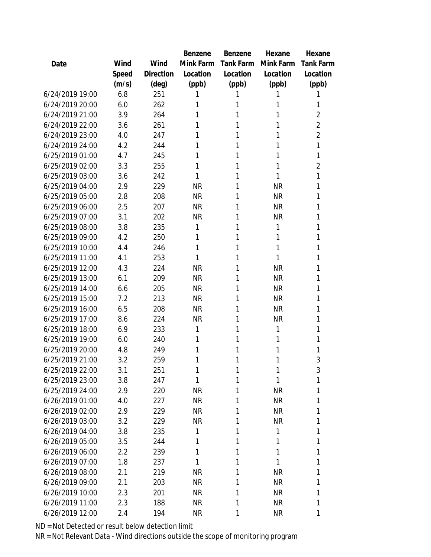|                 |       |           | Benzene   | Benzene   | Hexane    | Hexane           |
|-----------------|-------|-----------|-----------|-----------|-----------|------------------|
| Date            | Wind  | Wind      | Mink Farm | Tank Farm | Mink Farm | <b>Tank Farm</b> |
|                 | Speed | Direction | Location  | Location  | Location  | Location         |
|                 | (m/s) | (deg)     | (ppb)     | (ppb)     | (ppb)     | (ppb)            |
| 6/24/2019 19:00 | 6.8   | 251       | 1         | 1         | 1         | 1                |
| 6/24/2019 20:00 | 6.0   | 262       | 1         | 1         | 1         | 1                |
| 6/24/2019 21:00 | 3.9   | 264       | 1         | 1         | 1         | $\overline{2}$   |
| 6/24/2019 22:00 | 3.6   | 261       | 1         | 1         | 1         | $\overline{2}$   |
| 6/24/2019 23:00 | 4.0   | 247       | 1         | 1         | 1         | $\overline{2}$   |
| 6/24/2019 24:00 | 4.2   | 244       | 1         | 1         | 1         | 1                |
| 6/25/2019 01:00 | 4.7   | 245       | 1         | 1         | 1         | 1                |
| 6/25/2019 02:00 | 3.3   | 255       | 1         | 1         | 1         | $\overline{2}$   |
| 6/25/2019 03:00 | 3.6   | 242       | 1         | 1         | 1         | 1                |
| 6/25/2019 04:00 | 2.9   | 229       | <b>NR</b> | 1         | <b>NR</b> | 1                |
| 6/25/2019 05:00 | 2.8   | 208       | <b>NR</b> | 1         | <b>NR</b> | 1                |
| 6/25/2019 06:00 | 2.5   | 207       | <b>NR</b> | 1         | <b>NR</b> | 1                |
| 6/25/2019 07:00 | 3.1   | 202       | <b>NR</b> | 1         | <b>NR</b> | 1                |
| 6/25/2019 08:00 | 3.8   | 235       | 1         | 1         | 1         | 1                |
| 6/25/2019 09:00 | 4.2   | 250       | 1         | 1         | 1         | 1                |
| 6/25/2019 10:00 | 4.4   | 246       | 1         | 1         | 1         | 1                |
| 6/25/2019 11:00 | 4.1   | 253       | 1         | 1         | 1         | 1                |
| 6/25/2019 12:00 | 4.3   | 224       | <b>NR</b> | 1         | <b>NR</b> | 1                |
| 6/25/2019 13:00 | 6.1   | 209       | <b>NR</b> | 1         | <b>NR</b> | 1                |
| 6/25/2019 14:00 | 6.6   | 205       | <b>NR</b> | 1         | <b>NR</b> | 1                |
| 6/25/2019 15:00 | 7.2   | 213       | <b>NR</b> | 1         | <b>NR</b> | 1                |
| 6/25/2019 16:00 | 6.5   | 208       | <b>NR</b> | 1         | <b>NR</b> | 1                |
| 6/25/2019 17:00 | 8.6   | 224       | <b>NR</b> | 1         | <b>NR</b> | 1                |
| 6/25/2019 18:00 | 6.9   | 233       | 1         | 1         | 1         | 1                |
| 6/25/2019 19:00 | 6.0   | 240       | 1         | 1         | 1         | 1                |
| 6/25/2019 20:00 | 4.8   | 249       | 1         | 1         | 1         | 1                |
| 6/25/2019 21:00 | 3.2   | 259       | 1         | 1         | 1         | 3                |
| 6/25/2019 22:00 | 3.1   | 251       | 1         | 1         | 1         | 3                |
| 6/25/2019 23:00 | 3.8   | 247       | 1         | 1         | 1         | 1                |
| 6/25/2019 24:00 | 2.9   | 220       | <b>NR</b> | 1         | <b>NR</b> | 1                |
| 6/26/2019 01:00 | 4.0   | 227       | <b>NR</b> | 1         | <b>NR</b> | 1                |
| 6/26/2019 02:00 | 2.9   | 229       | <b>NR</b> | 1         | <b>NR</b> | 1                |
| 6/26/2019 03:00 | 3.2   | 229       | <b>NR</b> | 1         | <b>NR</b> | 1                |
| 6/26/2019 04:00 | 3.8   | 235       | 1         | 1         | 1         | 1                |
| 6/26/2019 05:00 | 3.5   | 244       | 1         | 1         | 1         | 1                |
| 6/26/2019 06:00 | 2.2   | 239       | 1         | 1         | 1         | 1                |
| 6/26/2019 07:00 | 1.8   | 237       | 1         | 1         | 1         | 1                |
| 6/26/2019 08:00 | 2.1   | 219       | <b>NR</b> | 1         | <b>NR</b> | 1                |
| 6/26/2019 09:00 | 2.1   | 203       | <b>NR</b> | 1         | <b>NR</b> | 1                |
| 6/26/2019 10:00 | 2.3   | 201       | <b>NR</b> | 1         | <b>NR</b> | 1                |
| 6/26/2019 11:00 | 2.3   | 188       | <b>NR</b> | 1         | <b>NR</b> | 1                |
| 6/26/2019 12:00 | 2.4   | 194       | <b>NR</b> | 1         | <b>NR</b> | 1                |
|                 |       |           |           |           |           |                  |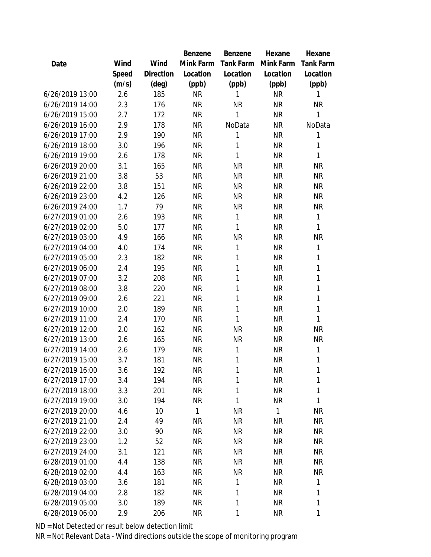|                 |       |                | Benzene   | Benzene   | Hexane    | Hexane           |
|-----------------|-------|----------------|-----------|-----------|-----------|------------------|
| Date            | Wind  | Wind           | Mink Farm | Tank Farm | Mink Farm | <b>Tank Farm</b> |
|                 | Speed | Direction      | Location  | Location  | Location  | Location         |
|                 | (m/s) | $(\text{deg})$ | (ppb)     | (ppb)     | (ppb)     | (ppb)            |
| 6/26/2019 13:00 | 2.6   | 185            | <b>NR</b> | 1         | <b>NR</b> | 1                |
| 6/26/2019 14:00 | 2.3   | 176            | <b>NR</b> | <b>NR</b> | <b>NR</b> | <b>NR</b>        |
| 6/26/2019 15:00 | 2.7   | 172            | <b>NR</b> | 1         | <b>NR</b> | 1                |
| 6/26/2019 16:00 | 2.9   | 178            | <b>NR</b> | NoData    | <b>NR</b> | NoData           |
| 6/26/2019 17:00 | 2.9   | 190            | <b>NR</b> | 1         | <b>NR</b> | $\mathbf{1}$     |
| 6/26/2019 18:00 | 3.0   | 196            | <b>NR</b> | 1         | <b>NR</b> | 1                |
| 6/26/2019 19:00 | 2.6   | 178            | <b>NR</b> | 1         | <b>NR</b> | 1                |
| 6/26/2019 20:00 | 3.1   | 165            | <b>NR</b> | <b>NR</b> | <b>NR</b> | <b>NR</b>        |
| 6/26/2019 21:00 | 3.8   | 53             | <b>NR</b> | <b>NR</b> | <b>NR</b> | <b>NR</b>        |
| 6/26/2019 22:00 | 3.8   | 151            | <b>NR</b> | <b>NR</b> | <b>NR</b> | <b>NR</b>        |
| 6/26/2019 23:00 | 4.2   | 126            | <b>NR</b> | <b>NR</b> | <b>NR</b> | <b>NR</b>        |
| 6/26/2019 24:00 | 1.7   | 79             | <b>NR</b> | <b>NR</b> | <b>NR</b> | <b>NR</b>        |
| 6/27/2019 01:00 | 2.6   | 193            | <b>NR</b> | 1         | <b>NR</b> | 1                |
| 6/27/2019 02:00 | 5.0   | 177            | <b>NR</b> | 1         | <b>NR</b> | 1                |
| 6/27/2019 03:00 | 4.9   | 166            | <b>NR</b> | <b>NR</b> | <b>NR</b> | <b>NR</b>        |
| 6/27/2019 04:00 | 4.0   | 174            | <b>NR</b> | 1         | <b>NR</b> | 1                |
| 6/27/2019 05:00 | 2.3   | 182            | <b>NR</b> | 1         | <b>NR</b> | 1                |
| 6/27/2019 06:00 | 2.4   | 195            | <b>NR</b> | 1         | <b>NR</b> | 1                |
| 6/27/2019 07:00 | 3.2   | 208            | <b>NR</b> | 1         | <b>NR</b> | 1                |
| 6/27/2019 08:00 | 3.8   | 220            | <b>NR</b> | 1         | <b>NR</b> | 1                |
| 6/27/2019 09:00 | 2.6   | 221            | <b>NR</b> | 1         | <b>NR</b> | 1                |
| 6/27/2019 10:00 | 2.0   | 189            | <b>NR</b> | 1         | <b>NR</b> | 1                |
| 6/27/2019 11:00 | 2.4   | 170            | <b>NR</b> | 1         | <b>NR</b> | 1                |
| 6/27/2019 12:00 | 2.0   | 162            | <b>NR</b> | <b>NR</b> | <b>NR</b> | <b>NR</b>        |
| 6/27/2019 13:00 | 2.6   | 165            | <b>NR</b> | <b>NR</b> | <b>NR</b> | <b>NR</b>        |
| 6/27/2019 14:00 | 2.6   | 179            | <b>NR</b> | 1         | <b>NR</b> | 1                |
| 6/27/2019 15:00 | 3.7   | 181            | <b>NR</b> | 1         | <b>NR</b> | 1                |
| 6/27/2019 16:00 | 3.6   | 192            | <b>NR</b> | 1         | <b>NR</b> | 1                |
| 6/27/2019 17:00 | 3.4   | 194            | <b>NR</b> | 1         | <b>NR</b> | 1                |
| 6/27/2019 18:00 | 3.3   | 201            | <b>NR</b> | 1         | <b>NR</b> | 1                |
| 6/27/2019 19:00 | 3.0   | 194            | <b>NR</b> | 1         | <b>NR</b> | 1                |
| 6/27/2019 20:00 | 4.6   | 10             | 1         | <b>NR</b> | 1         | <b>NR</b>        |
| 6/27/2019 21:00 | 2.4   | 49             | <b>NR</b> | <b>NR</b> | <b>NR</b> | <b>NR</b>        |
| 6/27/2019 22:00 | 3.0   | 90             | <b>NR</b> | <b>NR</b> | <b>NR</b> | <b>NR</b>        |
| 6/27/2019 23:00 | 1.2   | 52             | <b>NR</b> | <b>NR</b> | <b>NR</b> | <b>NR</b>        |
| 6/27/2019 24:00 | 3.1   | 121            | <b>NR</b> | <b>NR</b> | <b>NR</b> | <b>NR</b>        |
| 6/28/2019 01:00 | 4.4   | 138            | <b>NR</b> | <b>NR</b> | <b>NR</b> | <b>NR</b>        |
| 6/28/2019 02:00 | 4.4   | 163            | <b>NR</b> | <b>NR</b> | <b>NR</b> | <b>NR</b>        |
| 6/28/2019 03:00 | 3.6   | 181            | <b>NR</b> | 1         | <b>NR</b> | 1                |
| 6/28/2019 04:00 | 2.8   | 182            | <b>NR</b> | 1         | <b>NR</b> | 1                |
| 6/28/2019 05:00 | 3.0   | 189            | <b>NR</b> | 1         | <b>NR</b> | 1                |
| 6/28/2019 06:00 | 2.9   | 206            | <b>NR</b> | 1         | <b>NR</b> | 1                |